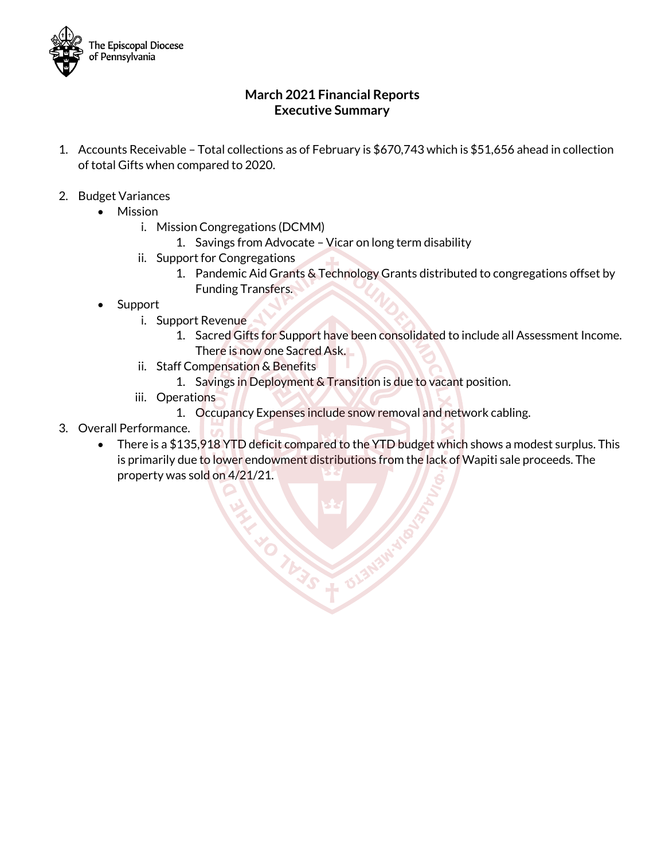

#### **March 2021 Financial Reports Executive Summary**

- 1. Accounts Receivable Total collections as of February is \$670,743 which is \$51,656 ahead in collection of total Gifts when compared to 2020.
- 2. Budget Variances
	- Mission
		- i. Mission Congregations (DCMM)
			- 1. Savings from Advocate Vicar on long term disability
		- ii. Support for Congregations
			- 1. Pandemic Aid Grants & Technology Grants distributed to congregations offset by Funding Transfers.
	- **Support** 
		- i. Support Revenue
			- 1. Sacred Gifts for Support have been consolidated to include all Assessment Income. There is now one Sacred Ask.
		- ii. Staff Compensation & Benefits
			- 1. Savings in Deployment & Transition is due to vacant position.
		- iii. Operations
			- 1. Occupancy Expenses include snow removal and network cabling.
- 3. Overall Performance.
	- There is a \$135,918 YTD deficit compared to the YTD budget which shows a modest surplus. This is primarily due to lower endowment distributions from the lack of Wapiti sale proceeds. The property was sold on 4/21/21.

**TW3S + 013N**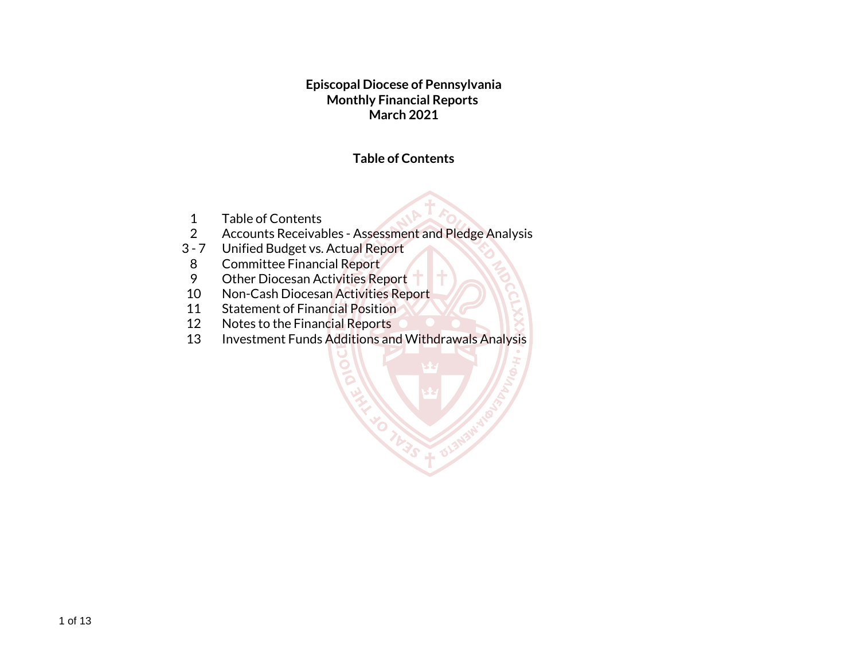**Episcopal Diocese of Pennsylvania Monthly Financial Reports March 2021**

#### **Table of Contents**

**OL3N** 

- 1 Table of Contents
- 2 Accounts Receivables Assessment and Pledge Analysis
- 3 7 Unified Budget vs. Actual Report
- 8 Committee Financial Report
- 9 Other Diocesan Activities Report
- 10 Non-Cash Diocesan Activities Report
- 11 Statement of Financial Position
- 12 Notes to the Financial Reports<br>13 Investment Funds Additions an
- Investment Funds Additions and Withdrawals Analysis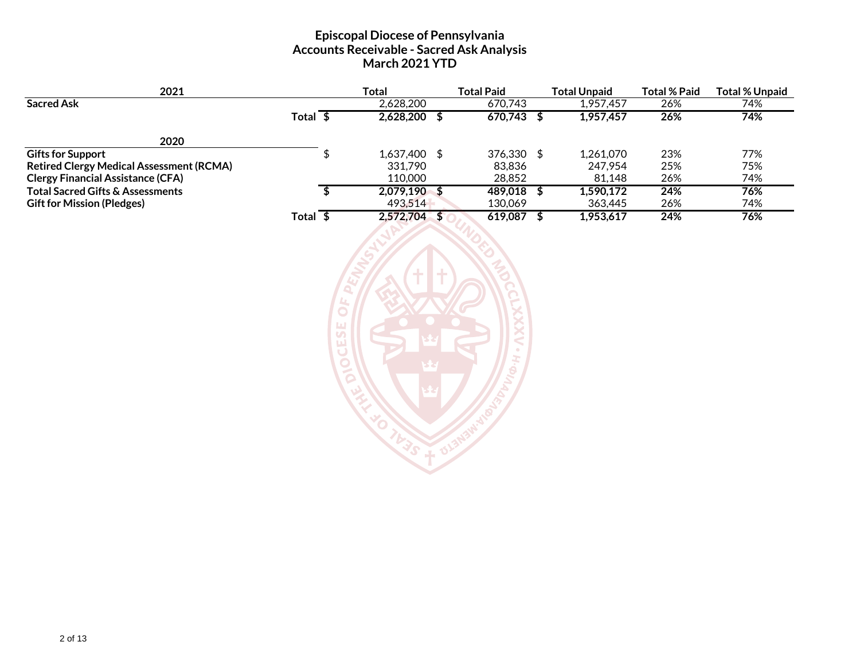#### **Episcopal Diocese of Pennsylvania Accounts Receivable - Sacred Ask Analysis March 2021 YTD**

| 2021                                            |                       |             | <b>Total</b>   | <b>Total Paid</b> | <b>Total Unpaid</b> | <b>Total % Paid</b> | <b>Total % Unpaid</b> |
|-------------------------------------------------|-----------------------|-------------|----------------|-------------------|---------------------|---------------------|-----------------------|
| <b>Sacred Ask</b>                               |                       |             | 2,628,200      | 670,743           | 1,957,457           | 26%                 | 74%                   |
|                                                 | Total $\sqrt[6]{ }$   |             | $2,628,200$ \$ | $670,743$ \$      | 1,957,457           | 26%                 | 74%                   |
| 2020                                            |                       |             |                |                   |                     |                     |                       |
| <b>Gifts for Support</b>                        |                       | \$          | 1,637,400 \$   | 376,330 \$        | 1,261,070           | 23%                 | 77%                   |
| <b>Retired Clergy Medical Assessment (RCMA)</b> |                       |             | 331,790        | 83,836            | 247,954             | 25%                 | 75%                   |
| <b>Clergy Financial Assistance (CFA)</b>        |                       |             | 110,000        | 28,852            | 81,148              | 26%                 | 74%                   |
| <b>Total Sacred Gifts &amp; Assessments</b>     |                       | S           | 2,079,190 \$   | 489,018           | \$<br>1,590,172     | 24%                 | 76%                   |
| <b>Gift for Mission (Pledges)</b>               |                       |             | 493,514        | 130,069           | 363,445             | 26%                 | 74%                   |
|                                                 | Total $\overline{\$}$ |             | 2,572,704 \$   | $619,087$ \$      | 1,953,617           | 24%                 | 76%                   |
|                                                 |                       | ш<br>S<br>ш |                |                   |                     |                     |                       |

TO THE STANDARD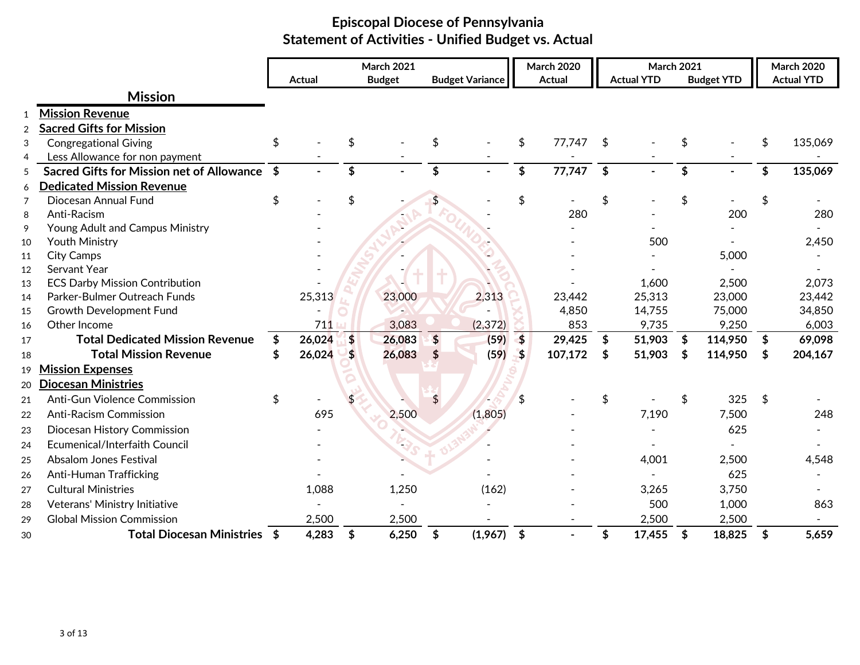|                |                                                  | <b>Actual</b> |                         | <b>March 2021</b><br><b>Budget</b> |               | <b>Budget Variance</b> |                      | <b>March 2020</b><br><b>Actual</b> | <b>March 2021</b><br><b>Actual YTD</b> | <b>Budget YTD</b> | <b>March 2020</b><br><b>Actual YTD</b> |
|----------------|--------------------------------------------------|---------------|-------------------------|------------------------------------|---------------|------------------------|----------------------|------------------------------------|----------------------------------------|-------------------|----------------------------------------|
|                |                                                  |               |                         |                                    |               |                        |                      |                                    |                                        |                   |                                        |
|                | <b>Mission</b>                                   |               |                         |                                    |               |                        |                      |                                    |                                        |                   |                                        |
| $\mathbf{1}$   | <b>Mission Revenue</b>                           |               |                         |                                    |               |                        |                      |                                    |                                        |                   |                                        |
| $\overline{2}$ | <b>Sacred Gifts for Mission</b>                  |               |                         |                                    |               |                        |                      |                                    |                                        |                   |                                        |
| 3              | <b>Congregational Giving</b>                     | \$            | \$                      |                                    | \$            |                        | \$                   | 77,747                             | \$                                     |                   | \$<br>135,069                          |
| 4              | Less Allowance for non payment                   |               |                         |                                    |               |                        |                      |                                    |                                        |                   |                                        |
| 5              | <b>Sacred Gifts for Mission net of Allowance</b> | \$            | \$                      |                                    | \$            |                        | \$                   | 77,747                             | \$                                     | \$                | \$<br>135,069                          |
| 6              | <b>Dedicated Mission Revenue</b>                 |               |                         |                                    |               |                        |                      |                                    |                                        |                   |                                        |
| 7              | Diocesan Annual Fund                             | \$            | \$                      |                                    |               |                        | \$                   |                                    | \$                                     |                   |                                        |
| 8              | Anti-Racism                                      |               |                         |                                    |               |                        |                      | 280                                |                                        | 200               | 280                                    |
| 9              | Young Adult and Campus Ministry                  |               |                         |                                    |               |                        |                      |                                    |                                        |                   |                                        |
| 10             | Youth Ministry                                   |               |                         |                                    |               |                        |                      |                                    | 500                                    |                   | 2,450                                  |
| 11             | <b>City Camps</b>                                |               |                         |                                    |               |                        |                      |                                    |                                        | 5,000             |                                        |
| 12             | Servant Year                                     |               |                         |                                    |               |                        |                      |                                    |                                        |                   |                                        |
| 13             | <b>ECS Darby Mission Contribution</b>            |               |                         |                                    |               |                        |                      |                                    | 1,600                                  | 2,500             | 2,073                                  |
| 14             | Parker-Bulmer Outreach Funds                     | 25,313        |                         | 23,000                             |               | 2,313                  |                      | 23,442                             | 25,313                                 | 23,000            | 23,442                                 |
| 15             | Growth Development Fund                          |               |                         |                                    |               |                        |                      | 4,850                              | 14,755                                 | 75,000            | 34,850                                 |
| 16             | Other Income                                     | 711           |                         | 3,083                              |               | (2, 372)               |                      | 853                                | 9,735                                  | 9,250             | 6,003                                  |
| 17             | <b>Total Dedicated Mission Revenue</b>           | \$<br>26,024  | $\overline{\mathbf{S}}$ | 26,083                             | $\frac{1}{2}$ | (59)                   | $\overline{\bullet}$ | 29,425                             | \$<br>51,903                           | \$<br>114,950     | \$<br>69,098                           |
| 18             | <b>Total Mission Revenue</b>                     | 26,024        | $\frac{4}{5}$           | 26,083                             | \$            | (59)                   | $-5$                 | 107,172                            | \$<br>51,903                           | \$<br>114,950     | \$<br>204,167                          |
| 19             | <b>Mission Expenses</b>                          |               |                         |                                    |               |                        |                      |                                    |                                        |                   |                                        |
| 20             | <b>Diocesan Ministries</b>                       |               |                         |                                    |               |                        |                      |                                    |                                        |                   |                                        |
| 21             | <b>Anti-Gun Violence Commission</b>              | \$            |                         |                                    | \$            |                        |                      |                                    | \$                                     | 325               | \$                                     |
| 22             | <b>Anti-Racism Commission</b>                    | 695           |                         | 2,500                              |               | (1,805)                |                      |                                    | 7,190                                  | 7,500             | 248                                    |
| 23             | Diocesan History Commission                      |               |                         |                                    |               |                        |                      |                                    |                                        | 625               |                                        |
| 24             | Ecumenical/Interfaith Council                    |               |                         |                                    |               |                        |                      |                                    |                                        |                   |                                        |
| 25             | <b>Absalom Jones Festival</b>                    |               |                         |                                    |               |                        |                      |                                    | 4,001                                  | 2,500             | 4,548                                  |
| 26             | Anti-Human Trafficking                           |               |                         |                                    |               |                        |                      |                                    |                                        | 625               |                                        |
| 27             | <b>Cultural Ministries</b>                       | 1,088         |                         | 1,250                              |               | (162)                  |                      |                                    | 3,265                                  | 3,750             |                                        |
| 28             | Veterans' Ministry Initiative                    |               |                         |                                    |               |                        |                      |                                    | 500                                    | 1,000             | 863                                    |
| 29             | <b>Global Mission Commission</b>                 | 2,500         |                         | 2,500                              |               |                        |                      |                                    | 2,500                                  | 2,500             |                                        |
| 30             | Total Diocesan Ministries \$                     | 4,283         | \$                      | 6,250                              | \$            | (1,967)                | $\frac{1}{2}$        |                                    | \$<br>17,455                           | \$<br>18,825      | \$<br>5,659                            |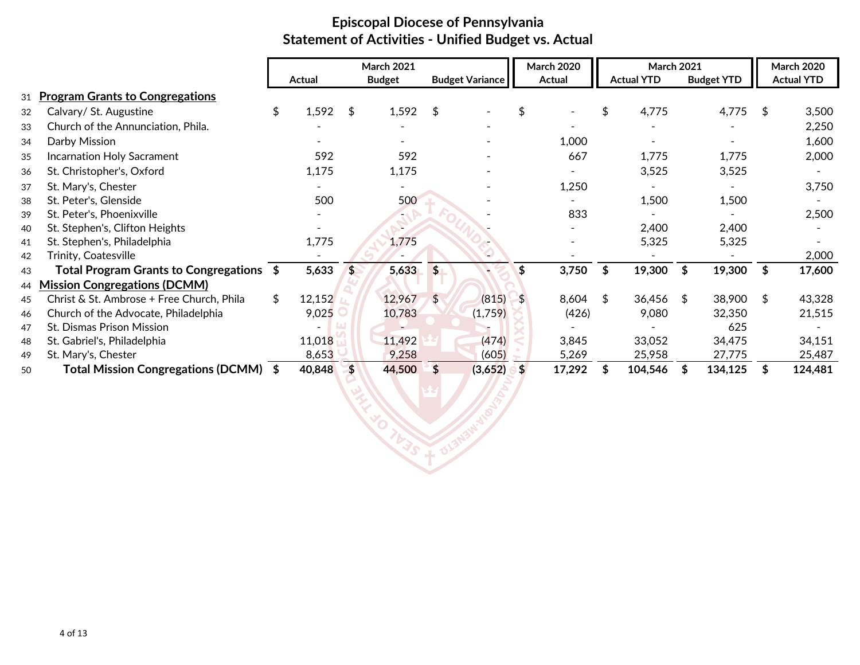|    |                                           |        | <b>March 2021</b> |                        |               | <b>March 2020</b> | <b>March 2021</b> |                   |    | <b>March 2020</b> |
|----|-------------------------------------------|--------|-------------------|------------------------|---------------|-------------------|-------------------|-------------------|----|-------------------|
|    |                                           | Actual | <b>Budget</b>     | <b>Budget Variance</b> |               | Actual            | <b>Actual YTD</b> | <b>Budget YTD</b> |    | <b>Actual YTD</b> |
| 31 | <b>Program Grants to Congregations</b>    |        |                   |                        |               |                   |                   |                   |    |                   |
| 32 | Calvary/ St. Augustine                    | 1,592  | \$<br>1,592       | \$                     |               |                   | \$<br>4,775       | 4,775             | S  | 3,500             |
| 33 | Church of the Annunciation, Phila.        |        |                   |                        |               |                   |                   |                   |    | 2,250             |
| 34 | Darby Mission                             |        |                   |                        |               | 1,000             |                   |                   |    | 1,600             |
| 35 | Incarnation Holy Sacrament                | 592    | 592               |                        |               | 667               | 1,775             | 1,775             |    | 2,000             |
| 36 | St. Christopher's, Oxford                 | 1,175  | 1,175             |                        |               |                   | 3,525             | 3,525             |    |                   |
| 37 | St. Mary's, Chester                       |        |                   |                        |               | 1,250             |                   |                   |    | 3,750             |
| 38 | St. Peter's, Glenside                     | 500    | 500               |                        |               |                   | 1,500             | 1,500             |    |                   |
| 39 | St. Peter's, Phoenixville                 |        |                   |                        |               | 833               |                   |                   |    | 2,500             |
| 40 | St. Stephen's, Clifton Heights            |        |                   |                        |               |                   | 2,400             | 2,400             |    |                   |
| 41 | St. Stephen's, Philadelphia               | 1,775  | 1,775             |                        |               |                   | 5,325             | 5,325             |    |                   |
| 42 | Trinity, Coatesville                      |        |                   |                        |               |                   |                   |                   |    | 2,000             |
| 43 | Total Program Grants to Congregations $$$ | 5,633  | \$<br>5,633       | \$                     |               | 3,750             | \$<br>19,300      | \$<br>19,300      | \$ | 17,600            |
| 44 | <b>Mission Congregations (DCMM)</b>       |        |                   |                        |               |                   |                   |                   |    |                   |
| 45 | Christ & St. Ambrose + Free Church, Phila | 12,152 | 12,967            | \$<br>(815)            | $-5$          | 8,604             | \$<br>$36,456$ \$ | 38,900            | -S | 43,328            |
| 46 | Church of the Advocate, Philadelphia      | 9,025  | 10,783            | (1,759)                |               | (426)             | 9,080             | 32,350            |    | 21,515            |
| 47 | <b>St. Dismas Prison Mission</b>          |        |                   |                        |               |                   |                   | 625               |    |                   |
| 48 | St. Gabriel's, Philadelphia               | 11,018 | 11,492            | (474)                  |               | 3,845             | 33,052            | 34,475            |    | 34,151            |
| 49 | St. Mary's, Chester                       | 8,653  | 9,258             | (605)                  |               | 5,269             | 25,958            | 27,775            |    | 25,487            |
| 50 | Total Mission Congregations (DCMM) \$     | 40,848 | 44,500            | \$<br>(3,652)          | <sup>\$</sup> | 17,292            | 104,546           | 134,125           |    | 124,481           |

**CALLAGE DISPOSE**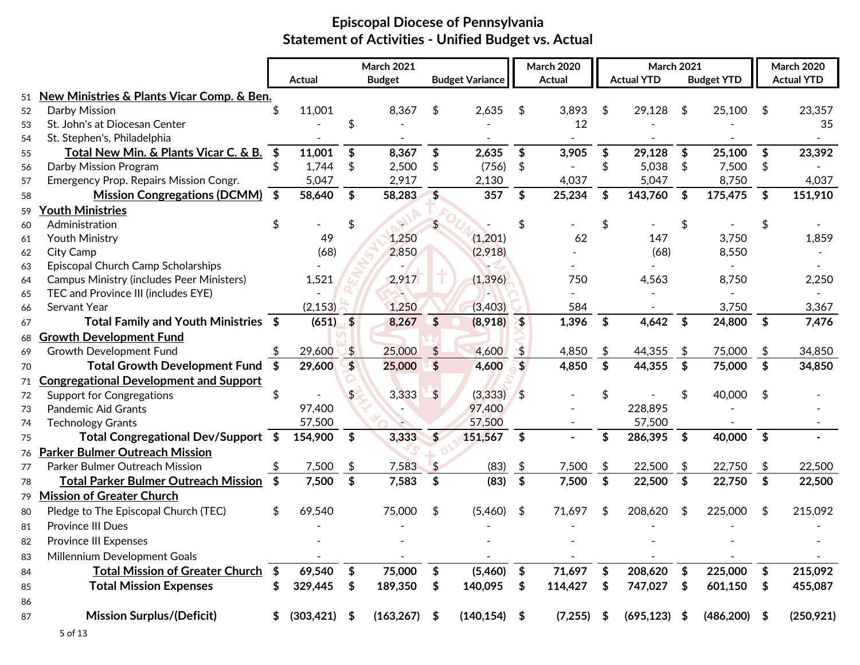|    |                                                  |     |                 |                            | <b>March 2021</b> |                           |                        |            | <b>March 2020</b> |                           | <b>March 2021</b> |            |                   |                            | <b>March 2020</b> |
|----|--------------------------------------------------|-----|-----------------|----------------------------|-------------------|---------------------------|------------------------|------------|-------------------|---------------------------|-------------------|------------|-------------------|----------------------------|-------------------|
|    |                                                  |     | <b>Actual</b>   |                            | <b>Budget</b>     |                           | <b>Budget Variance</b> |            | <b>Actual</b>     |                           | <b>Actual YTD</b> |            | <b>Budget YTD</b> |                            | <b>Actual YTD</b> |
|    | 51 New Ministries & Plants Vicar Comp. & Ben.    |     |                 |                            |                   |                           |                        |            |                   |                           |                   |            |                   |                            |                   |
| 52 | Darby Mission                                    |     | 11,001          |                            | 8,367             | \$                        | 2,635                  | \$         | 3,893             | \$                        | 29,128            | \$         | 25,100            | S                          | 23,357            |
| 53 | St. John's at Diocesan Center                    |     |                 |                            |                   |                           |                        |            | 12                |                           |                   |            |                   |                            | 35                |
| 54 | St. Stephen's, Philadelphia                      |     |                 |                            |                   |                           |                        |            |                   |                           |                   |            |                   |                            |                   |
| 55 | Total New Min. & Plants Vicar C. & B.            |     | 11,001          | \$                         | 8,367             | \$                        | 2,635                  | \$         | 3,905             | \$                        | 29,128            | \$         | 25,100            | \$                         | 23,392            |
| 56 | Darby Mission Program                            |     | 1,744           | \$                         | 2,500             | \$                        | (756)                  | \$         |                   | \$                        | 5,038             | \$         | 7,500             | \$                         |                   |
| 57 | Emergency Prop. Repairs Mission Congr.           |     | 5,047           |                            | 2,917             |                           | 2,130                  |            | 4,037             |                           | 5,047             |            | 8,750             |                            | 4,037             |
| 58 | <b>Mission Congregations (DCMM)</b>              |     | 58,640          | \$                         | 58,283            | \$                        | 357                    | \$         | 25,234            | \$                        | 143,760           | \$         | 175,475           | \$                         | 151,910           |
| 59 | <b>Youth Ministries</b>                          |     |                 |                            |                   |                           |                        |            |                   |                           |                   |            |                   |                            |                   |
| 60 | Administration                                   |     |                 |                            |                   |                           |                        |            |                   | \$                        |                   |            |                   |                            |                   |
| 61 | Youth Ministry                                   |     | 49              |                            | 1,250             |                           | (1,201)                |            | 62                |                           | 147               |            | 3,750             |                            | 1,859             |
| 62 | City Camp                                        |     | (68)            |                            | 2,850             |                           | (2,918)                |            |                   |                           | (68)              |            | 8,550             |                            |                   |
| 63 | Episcopal Church Camp Scholarships               |     |                 |                            |                   |                           |                        |            |                   |                           |                   |            |                   |                            |                   |
| 64 | <b>Campus Ministry (includes Peer Ministers)</b> |     | 1,521           |                            | 2,917             |                           | (1, 396)               |            | 750               |                           | 4,563             |            | 8,750             |                            | 2,250             |
| 65 | TEC and Province III (includes EYE)              |     |                 |                            |                   |                           |                        |            |                   |                           |                   |            |                   |                            |                   |
| 66 | Servant Year                                     |     | (2, 153)        |                            | 1,250             |                           | (3,403)                |            | 584               |                           |                   |            | 3,750             |                            | 3,367             |
| 67 | Total Family and Youth Ministries \$             |     | $(651)$ \$      |                            | 8,267             | $\boldsymbol{\mathsf{s}}$ | (8,918)                | $\sim$     | 1,396             | $\boldsymbol{\mathsf{s}}$ | 4,642             | \$         | 24,800            | $\sqrt{5}$                 | 7,476             |
| 68 | <b>Growth Development Fund</b>                   |     |                 |                            |                   |                           |                        |            |                   |                           |                   |            |                   |                            |                   |
| 69 | Growth Development Fund                          |     | 29,600          | \$                         | 25,000            |                           | 4,600                  |            | 4,850             | \$                        | 44,355            | \$         | 75,000            | \$                         | 34,850            |
| 70 | Total Growth Development Fund \$                 |     | 29,600          | \$                         | 25,000            | $\boldsymbol{\mathsf{S}}$ | 4,600                  | \$         | 4,850             | \$                        | 44,355            | \$         | 75,000            | \$                         | 34,850            |
| 71 | <b>Congregational Development and Support</b>    |     |                 |                            |                   |                           |                        |            |                   |                           |                   |            |                   |                            |                   |
| 72 | <b>Support for Congregations</b>                 | \$  |                 | \$                         | 3,333             | $\frac{4}{5}$             | (3, 333)               | $\sqrt{3}$ |                   |                           |                   |            | 40,000            | -S                         |                   |
| 73 | Pandemic Aid Grants                              |     | 97,400          |                            |                   |                           | 97,400                 |            |                   |                           | 228,895           |            |                   |                            |                   |
| 74 | <b>Technology Grants</b>                         |     | 57,500          |                            |                   |                           | 57,500                 |            |                   |                           | 57,500            |            |                   |                            |                   |
| 75 | Total Congregational Dev/Support \$              |     | 154,900         | \$                         | 3,333             | \$                        | 151,567                | \$         |                   | \$                        | 286,395           | \$         | 40,000            | \$                         |                   |
| 76 | <b>Parker Bulmer Outreach Mission</b>            |     |                 |                            |                   |                           |                        |            |                   |                           |                   |            |                   |                            |                   |
| 77 | Parker Bulmer Outreach Mission                   |     | 7,500           | \$                         | 7,583             |                           | (83)                   | \$         | 7,500             | \$                        | 22,500            | \$         | 22,750            | \$                         | 22,500            |
| 78 | <b>Total Parker Bulmer Outreach Mission</b>      | -\$ | 7,500           | \$                         | 7,583             | \$                        | (83)                   | \$         | 7,500             | \$                        | 22,500            | \$         | 22,750            | \$                         | 22,500            |
| 79 | <b>Mission of Greater Church</b>                 |     |                 |                            |                   |                           |                        |            |                   |                           |                   |            |                   |                            |                   |
| 80 | Pledge to The Episcopal Church (TEC)             | \$  | 69,540          |                            | 75,000            | \$                        | (5,460)                | \$         | 71,697            | \$                        | 208,620           | \$         | 225,000           | \$                         | 215,092           |
| 81 | <b>Province III Dues</b>                         |     |                 |                            |                   |                           |                        |            |                   |                           |                   |            |                   |                            |                   |
| 82 | <b>Province III Expenses</b>                     |     |                 |                            |                   |                           |                        |            |                   |                           |                   |            |                   |                            |                   |
| 83 | Millennium Development Goals                     |     |                 |                            |                   |                           |                        |            |                   |                           |                   |            |                   |                            |                   |
| 84 | <b>Total Mission of Greater Church</b>           | \$  | 69,540          | $\boldsymbol{\mathsf{\$}}$ | 75,000            | \$                        | (5,460)                | \$         | 71,697            | \$                        | 208,620           | $\sqrt{5}$ | 225,000           | $\boldsymbol{\mathsf{\$}}$ | 215,092           |
| 85 | <b>Total Mission Expenses</b>                    | \$  | 329,445         | \$                         | 189,350           | \$                        | 140,095                | \$         | 114,427           | \$                        | 747,027           | -\$        | 601,150           | \$                         | 455,087           |
| 86 |                                                  |     |                 |                            |                   |                           |                        |            |                   |                           |                   |            |                   |                            |                   |
| 87 | <b>Mission Surplus/(Deficit)</b>                 | \$  | $(303, 421)$ \$ |                            | $(163, 267)$ \$   |                           | $(140, 154)$ \$        |            | $(7,255)$ \$      |                           | $(695, 123)$ \$   |            | $(486,200)$ \$    |                            | (250, 921)        |
|    |                                                  |     |                 |                            |                   |                           |                        |            |                   |                           |                   |            |                   |                            |                   |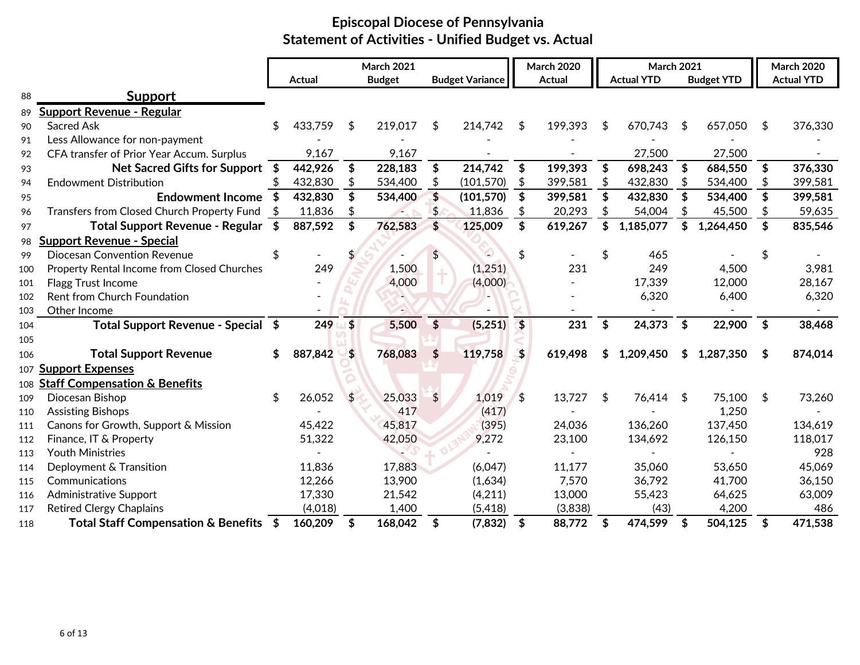|     |                                             |     | <b>Actual</b> |            | <b>March 2021</b><br><b>Budget</b> |                         | <b>Budget Variance</b> |            | <b>March 2020</b><br><b>Actual</b> | <b>March 2021</b><br><b>Actual YTD</b> | <b>Budget YTD</b> |            | <b>March 2020</b><br><b>Actual YTD</b> |
|-----|---------------------------------------------|-----|---------------|------------|------------------------------------|-------------------------|------------------------|------------|------------------------------------|----------------------------------------|-------------------|------------|----------------------------------------|
| 88  |                                             |     |               |            |                                    |                         |                        |            |                                    |                                        |                   |            |                                        |
|     | <b>Support</b>                              |     |               |            |                                    |                         |                        |            |                                    |                                        |                   |            |                                        |
| 89  | Support Revenue - Regular                   |     |               |            |                                    |                         |                        |            |                                    |                                        |                   |            |                                        |
| 90  | <b>Sacred Ask</b>                           |     | 433,759       | \$         | 219,017                            | \$                      | 214,742                | \$         | 199,393                            | \$<br>670,743                          | \$<br>657,050     | \$         | 376,330                                |
| 91  | Less Allowance for non-payment              |     |               |            |                                    |                         |                        |            |                                    |                                        |                   |            |                                        |
| 92  | CFA transfer of Prior Year Accum. Surplus   |     | 9,167         |            | 9,167                              |                         |                        |            |                                    | 27,500                                 | 27,500            |            |                                        |
| 93  | Net Sacred Gifts for Support \$             |     | 442,926       | \$         | 228,183                            | \$                      | 214,742                | \$         | 199,393                            | \$<br>698,243                          | \$<br>684,550     | \$         | 376,330                                |
| 94  | <b>Endowment Distribution</b>               |     | 432,830       | \$         | 534,400                            |                         | (101, 570)             |            | 399,581                            | 432,830                                | 534,400           |            | 399,581                                |
| 95  | <b>Endowment Income</b>                     |     | 432,830       |            | 534,400                            | $\overline{\mathbf{S}}$ | (101, 570)             | \$         | 399,581                            | 432,830                                | 534,400           |            | 399,581                                |
| 96  | Transfers from Closed Church Property Fund  |     | 11,836        | \$         |                                    | $\frac{1}{2}$           | 11,836                 | \$         | 20,293                             | 54,004                                 | 45,500            | \$         | 59,635                                 |
| 97  | <b>Total Support Revenue - Regular</b>      | - S | 887,592       | \$         | 762,583                            | $\mathbf{\hat{z}}$      | 125,009                | \$         | 619,267                            | \$<br>1,185,077                        | \$<br>1,264,450   | \$         | 835,546                                |
| 98  | <b>Support Revenue - Special</b>            |     |               |            |                                    |                         |                        |            |                                    |                                        |                   |            |                                        |
| 99  | <b>Diocesan Convention Revenue</b>          |     |               |            |                                    | S                       |                        | \$         |                                    | 465                                    |                   |            |                                        |
| 100 | Property Rental Income from Closed Churches |     | 249           |            | 1,500                              |                         | (1,251)                |            | 231                                | 249                                    | 4,500             |            | 3,981                                  |
| 101 | Flagg Trust Income                          |     |               |            | 4,000                              |                         | (4,000)                |            |                                    | 17,339                                 | 12,000            |            | 28,167                                 |
| 102 | Rent from Church Foundation                 |     |               |            |                                    |                         |                        |            |                                    | 6,320                                  | 6,400             |            | 6,320                                  |
| 103 | Other Income                                |     |               |            |                                    |                         |                        |            |                                    |                                        |                   |            |                                        |
| 104 | Total Support Revenue - Special \$          |     | 249           | $\sqrt{5}$ | 5,500                              | \$                      | (5,251)                | $\sqrt{5}$ | 231                                | \$<br>24,373                           | \$<br>22,900      | $\sqrt{2}$ | 38,468                                 |
| 105 |                                             |     |               |            |                                    |                         |                        |            |                                    |                                        |                   |            |                                        |
| 106 | <b>Total Support Revenue</b>                |     | 887,842       | $\sqrt{2}$ | 768,083                            | \$                      | 119,758                | - \$       | 619,498                            | 1,209,450                              | 1,287,350         | S          | 874,014                                |
|     | 107 Support Expenses                        |     |               |            |                                    |                         |                        |            |                                    |                                        |                   |            |                                        |
| 108 | <b>Staff Compensation &amp; Benefits</b>    |     |               |            |                                    |                         |                        |            |                                    |                                        |                   |            |                                        |
| 109 | Diocesan Bishop                             | \$  | 26,052        | \$         | 25,033                             | $\frac{4}{5}$           | 1,019                  | \$         | 13,727                             | \$<br>76,414                           | \$<br>75,100      | \$         | 73,260                                 |
| 110 | <b>Assisting Bishops</b>                    |     |               |            | 417                                |                         | (417)                  |            |                                    |                                        | 1,250             |            |                                        |
| 111 | Canons for Growth, Support & Mission        |     | 45,422        |            | 45,817                             |                         | (395)                  |            | 24,036                             | 136,260                                | 137,450           |            | 134,619                                |
| 112 | Finance, IT & Property                      |     | 51,322        |            | 42,050                             |                         | 9,272                  |            | 23,100                             | 134,692                                | 126,150           |            | 118,017                                |
| 113 | <b>Youth Ministries</b>                     |     |               |            |                                    |                         |                        |            |                                    |                                        |                   |            | 928                                    |
| 114 | Deployment & Transition                     |     | 11,836        |            | 17,883                             |                         | (6,047)                |            | 11,177                             | 35,060                                 | 53,650            |            | 45,069                                 |
| 115 | Communications                              |     | 12,266        |            | 13,900                             |                         | (1,634)                |            | 7,570                              | 36,792                                 | 41,700            |            | 36,150                                 |
| 116 | <b>Administrative Support</b>               |     | 17,330        |            | 21,542                             |                         | (4,211)                |            | 13,000                             | 55,423                                 | 64,625            |            | 63,009                                 |
| 117 | <b>Retired Clergy Chaplains</b>             |     | (4,018)       |            | 1,400                              |                         | (5, 418)               |            | (3,838)                            | (43)                                   | 4,200             |            | 486                                    |
| 118 | Total Staff Compensation & Benefits \$      |     | 160,209       | \$         | 168,042                            | \$                      | (7, 832)               | \$         | 88,772                             | \$<br>474,599                          | \$<br>504,125     | \$         | 471,538                                |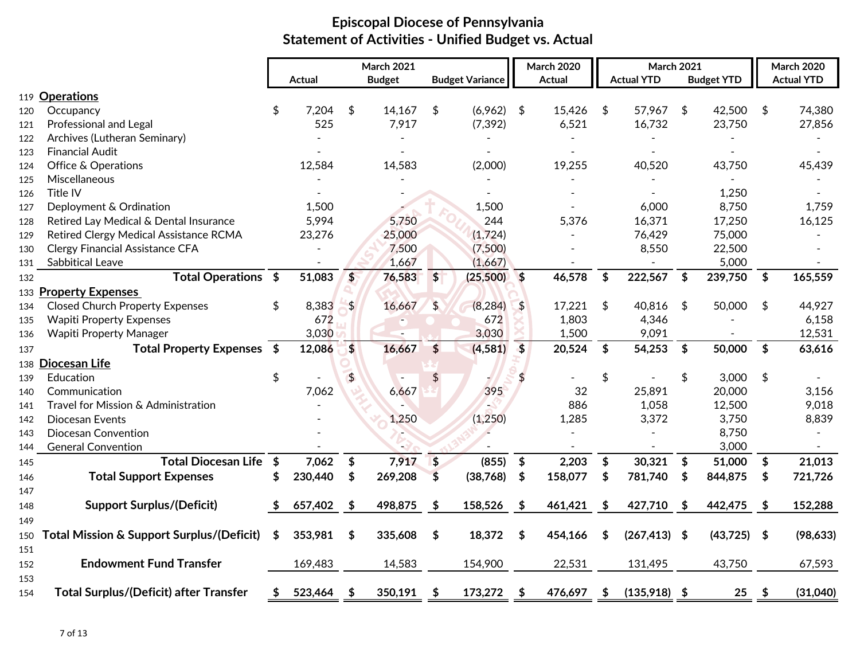|            |                                               |                           | Actual  |               | <b>March 2021</b><br><b>Budget</b> |                           | <b>Budget Variance</b> |                            | <b>March 2020</b><br>Actual |                           | <b>March 2021</b><br><b>Actual YTD</b> | <b>Budget YTD</b> |      | <b>March 2020</b><br><b>Actual YTD</b> |
|------------|-----------------------------------------------|---------------------------|---------|---------------|------------------------------------|---------------------------|------------------------|----------------------------|-----------------------------|---------------------------|----------------------------------------|-------------------|------|----------------------------------------|
|            | 119 Operations                                |                           |         |               |                                    |                           |                        |                            |                             |                           |                                        |                   |      |                                        |
|            |                                               | \$                        | 7,204   | \$            | 14,167                             |                           | $(6,962)$ \$           |                            | 15,426                      |                           | 57,967                                 | 42,500            | \$   | 74,380                                 |
| 120        | Occupancy<br>Professional and Legal           |                           | 525     |               | 7,917                              | \$                        | (7, 392)               |                            | 6,521                       | \$                        | 16,732                                 | \$<br>23,750      |      | 27,856                                 |
| 121        | Archives (Lutheran Seminary)                  |                           |         |               |                                    |                           |                        |                            |                             |                           |                                        |                   |      |                                        |
| 122<br>123 | <b>Financial Audit</b>                        |                           |         |               |                                    |                           |                        |                            |                             |                           |                                        |                   |      |                                        |
| 124        | <b>Office &amp; Operations</b>                |                           | 12,584  |               | 14,583                             |                           | (2,000)                |                            | 19,255                      |                           | 40,520                                 | 43,750            |      | 45,439                                 |
| 125        | Miscellaneous                                 |                           |         |               |                                    |                           |                        |                            |                             |                           |                                        |                   |      |                                        |
| 126        | Title IV                                      |                           |         |               |                                    |                           |                        |                            |                             |                           |                                        | 1,250             |      |                                        |
| 127        | Deployment & Ordination                       |                           | 1,500   |               |                                    |                           | 1,500                  |                            |                             |                           | 6,000                                  | 8,750             |      | 1,759                                  |
| 128        | Retired Lay Medical & Dental Insurance        |                           | 5,994   |               | 5,750                              |                           | 244                    |                            | 5,376                       |                           | 16,371                                 | 17,250            |      | 16,125                                 |
| 129        | Retired Clergy Medical Assistance RCMA        |                           | 23,276  |               | 25,000                             |                           | (1,724)                |                            |                             |                           | 76,429                                 | 75,000            |      |                                        |
| 130        | <b>Clergy Financial Assistance CFA</b>        |                           |         |               | 7,500                              |                           | (7,500)                |                            |                             |                           | 8,550                                  | 22,500            |      |                                        |
| 131        | <b>Sabbitical Leave</b>                       |                           |         |               | 1,667                              |                           | (1,667)                |                            |                             |                           |                                        | 5,000             |      |                                        |
| 132        | Total Operations \$                           |                           | 51,083  | \$            | 76,583                             | $\frac{1}{2}$             | (25,500)               | $\sqrt{5}$                 | 46,578                      | $\boldsymbol{\mathsf{s}}$ | 222,567 \$                             | 239,750           | \$   | 165,559                                |
|            | 133 Property Expenses                         |                           |         |               |                                    |                           |                        |                            |                             |                           |                                        |                   |      |                                        |
| 134        | <b>Closed Church Property Expenses</b>        | \$                        | 8,383   | \$            | 16,667                             | $\frac{4}{5}$             | (8, 284)               | $\frac{1}{2}$              | 17,221                      | \$                        | 40,816                                 | \$<br>50,000      | \$   | 44,927                                 |
| 135        | <b>Wapiti Property Expenses</b>               |                           | 672     |               |                                    |                           | 672                    |                            | 1,803                       |                           | 4,346                                  |                   |      | 6,158                                  |
| 136        | <b>Wapiti Property Manager</b>                |                           | 3,030   |               |                                    |                           | 3,030                  |                            | 1,500                       |                           | 9,091                                  |                   |      | 12,531                                 |
| 137        | <b>Total Property Expenses</b>                | $\overline{\bullet}$      | 12,086  | \$            | 16,667                             | $\frac{4}{5}$             | (4, 581)               | $\overline{\mathbf{3}}$    | 20,524                      | \$                        | 54,253                                 | \$<br>50,000      | \$   | 63,616                                 |
|            | 138 Diocesan Life                             |                           |         |               |                                    |                           |                        |                            |                             |                           |                                        |                   |      |                                        |
| 139        | Education                                     | \$                        |         | $\frac{4}{5}$ |                                    | \$                        |                        |                            |                             | \$                        |                                        | \$<br>3,000       | \$   |                                        |
| 140        | Communication                                 |                           | 7,062   |               | 6,667                              |                           | 395                    |                            | 32                          |                           | 25,891                                 | 20,000            |      | 3,156                                  |
| 141        | Travel for Mission & Administration           |                           |         |               |                                    |                           |                        |                            | 886                         |                           | 1,058                                  | 12,500            |      | 9,018                                  |
| 142        | Diocesan Events                               |                           |         |               | 1,250                              |                           | (1, 250)               |                            | 1,285                       |                           | 3,372                                  | 3,750             |      | 8,839                                  |
| 143        | <b>Diocesan Convention</b>                    |                           |         |               |                                    |                           |                        |                            |                             |                           |                                        | 8,750             |      |                                        |
| 144        | <b>General Convention</b>                     |                           |         |               |                                    |                           |                        |                            |                             |                           |                                        | 3,000             |      |                                        |
| 145        | <b>Total Diocesan Life</b>                    | $\boldsymbol{\mathsf{s}}$ | 7,062   | \$            | 7,917                              | $\boldsymbol{\mathsf{S}}$ | (855)                  | $\boldsymbol{\mathsf{\$}}$ | 2,203                       | \$                        | 30,321                                 | \$<br>51,000      | \$   | 21,013                                 |
| 146        | <b>Total Support Expenses</b>                 | \$                        | 230,440 | \$            | 269,208                            | \$                        | (38,768)               | \$                         | 158,077                     | \$                        | 781,740                                | \$<br>844,875     | \$   | 721,726                                |
| 147        |                                               |                           |         |               |                                    |                           |                        |                            |                             |                           |                                        |                   |      |                                        |
| 148        | <b>Support Surplus/(Deficit)</b>              | \$                        | 657,402 | \$            | 498,875                            | \$                        | 158,526                | \$                         | 461,421                     | \$                        | 427,710                                | \$<br>442,475     | \$   | 152,288                                |
| 149        |                                               |                           |         |               |                                    |                           |                        |                            |                             |                           |                                        |                   |      |                                        |
| 150        | Total Mission & Support Surplus/(Deficit)     | \$                        | 353,981 | \$            | 335,608                            | \$                        | 18,372                 | \$                         | 454,166                     | \$                        | $(267, 413)$ \$                        | (43, 725)         | \$   | (98, 633)                              |
| 151        |                                               |                           |         |               |                                    |                           |                        |                            |                             |                           |                                        |                   |      |                                        |
| 152        | <b>Endowment Fund Transfer</b>                |                           | 169,483 |               | 14,583                             |                           | 154,900                |                            | 22,531                      |                           | 131,495                                | 43,750            |      | 67,593                                 |
| 153        |                                               |                           |         |               |                                    |                           |                        |                            |                             |                           |                                        |                   |      |                                        |
| 154        | <b>Total Surplus/(Deficit) after Transfer</b> | S                         | 523,464 | \$            | 350,191                            | \$                        | 173,272                | \$                         | 476,697                     | \$                        | $(135,918)$ \$                         | 25                | - 56 | (31,040)                               |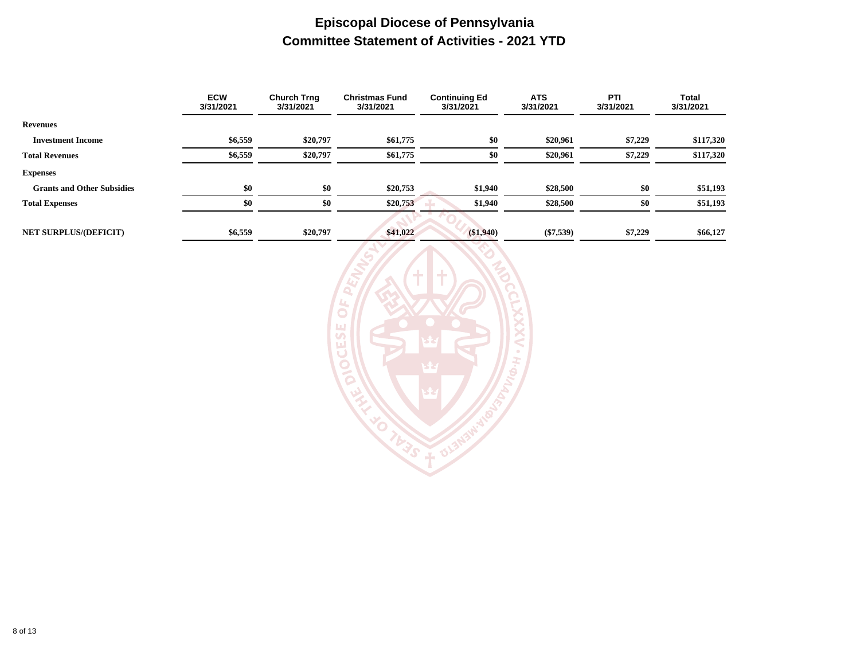### **Episcopal Diocese of Pennsylvania Committee Statement of Activities - 2021 YTD**

|                                   | <b>ECW</b><br>3/31/2021 | <b>Church Trng</b><br>3/31/2021 | <b>Christmas Fund</b><br>3/31/2021 | <b>Continuing Ed</b><br>3/31/2021 | <b>ATS</b><br>3/31/2021 | PTI<br>3/31/2021 | <b>Total</b><br>3/31/2021 |
|-----------------------------------|-------------------------|---------------------------------|------------------------------------|-----------------------------------|-------------------------|------------------|---------------------------|
| <b>Revenues</b>                   |                         |                                 |                                    |                                   |                         |                  |                           |
| <b>Investment Income</b>          | \$6,559                 | \$20,797                        | \$61,775                           | \$0                               | \$20,961                | \$7,229          | \$117,320                 |
| <b>Total Revenues</b>             | \$6,559                 | \$20,797                        | \$61,775                           | \$0                               | \$20,961                | \$7,229          | \$117,320                 |
| <b>Expenses</b>                   |                         |                                 |                                    |                                   |                         |                  |                           |
| <b>Grants and Other Subsidies</b> | \$0                     | \$0                             | \$20,753                           | \$1,940                           | \$28,500                | \$0              | \$51,193                  |
| <b>Total Expenses</b>             | \$0                     | \$0                             | \$20,753                           | \$1,940                           | \$28,500                | \$0              | \$51,193                  |
|                                   |                         |                                 |                                    |                                   |                         |                  |                           |
| <b>NET SURPLUS/(DEFICIT)</b>      | \$6,559                 | \$20,797                        | \$41,022                           | ( \$1,940)                        | $(\$7,539)$             | \$7,229          | \$66,127                  |

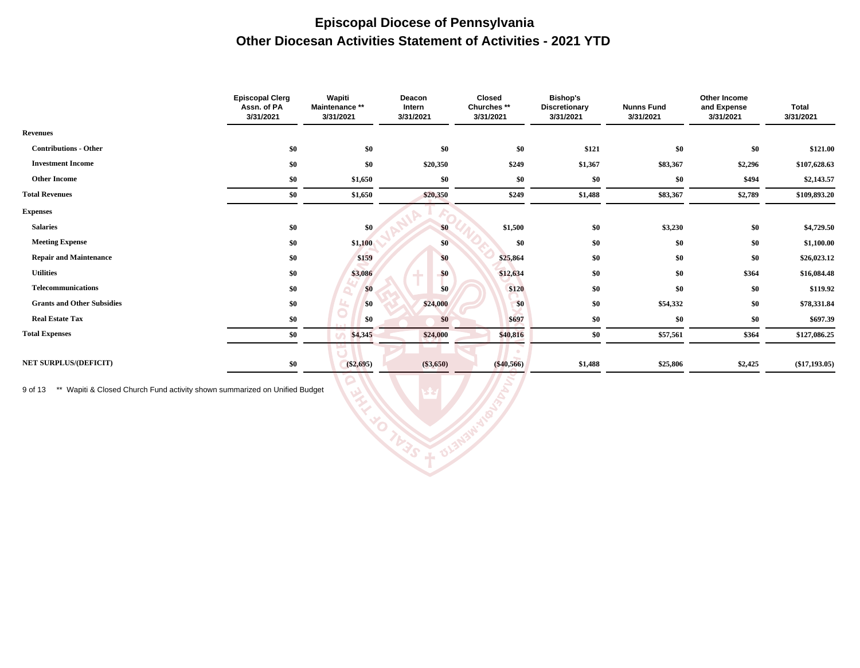### **Episcopal Diocese of Pennsylvania Other Diocesan Activities Statement of Activities - 2021 YTD**

|                                   | <b>Episcopal Clerg</b><br>Assn. of PA<br>3/31/2021 | Wapiti<br>Maintenance **<br>3/31/2021 | Deacon<br>Intern<br>3/31/2021 | <b>Closed</b><br>Churches **<br>3/31/2021 | <b>Bishop's</b><br><b>Discretionary</b><br>3/31/2021 | <b>Nunns Fund</b><br>3/31/2021 | Other Income<br>and Expense<br>3/31/2021 | <b>Total</b><br>3/31/2021 |
|-----------------------------------|----------------------------------------------------|---------------------------------------|-------------------------------|-------------------------------------------|------------------------------------------------------|--------------------------------|------------------------------------------|---------------------------|
| <b>Revenues</b>                   |                                                    |                                       |                               |                                           |                                                      |                                |                                          |                           |
| <b>Contributions - Other</b>      | \$0                                                | \$0                                   | \$0                           | \$0                                       | \$121                                                | \$0                            | \$0                                      | \$121.00                  |
| <b>Investment Income</b>          | \$0                                                | \$0                                   | \$20,350                      | \$249                                     | \$1,367                                              | \$83,367                       | \$2,296                                  | \$107,628.63              |
| <b>Other Income</b>               | \$0                                                | \$1,650                               | \$0                           | \$0                                       | \$0                                                  | \$0                            | \$494                                    | \$2,143.57                |
| <b>Total Revenues</b>             | \$0                                                | \$1,650                               | \$20,350                      | \$249                                     | \$1,488                                              | \$83,367                       | \$2,789                                  | \$109,893.20              |
| <b>Expenses</b>                   |                                                    |                                       |                               |                                           |                                                      |                                |                                          |                           |
| <b>Salaries</b>                   | \$0                                                | \$0                                   | \$0                           | \$1,500                                   | \$0                                                  | \$3,230                        | \$0                                      | \$4,729.50                |
| <b>Meeting Expense</b>            | \$0                                                | \$1,100                               | \$0                           | \$0                                       | \$0                                                  | \$0                            | \$0                                      | \$1,100.00                |
| <b>Repair and Maintenance</b>     | \$0                                                | \$159                                 | \$0                           | \$25,864                                  | \$0                                                  | \$0                            | \$0                                      | \$26,023.12               |
| <b>Utilities</b>                  | \$0                                                | \$3,086                               | \$0                           | \$12,634                                  | \$0                                                  | \$0                            | \$364                                    | \$16,084.48               |
| Telecommunications                | \$0                                                | \$0                                   | \$0                           | \$120                                     | \$0                                                  | \$0                            | \$0                                      | \$119.92                  |
| <b>Grants and Other Subsidies</b> | \$0                                                | \$0                                   | \$24,000                      | \$0                                       | \$0                                                  | \$54,332                       | \$0                                      | \$78,331.84               |
| <b>Real Estate Tax</b>            | \$0                                                | \$0                                   | \$0                           | \$697                                     | \$0                                                  | \$0                            | \$0                                      | \$697.39                  |
| <b>Total Expenses</b>             | \$0                                                | \$4,345                               | \$24,000                      | \$40,816                                  | \$0                                                  | \$57,561                       | \$364                                    | \$127,086.25              |
|                                   |                                                    |                                       |                               |                                           |                                                      |                                |                                          |                           |
| <b>NET SURPLUS/(DEFICIT)</b>      | \$0                                                | $(\$2,695)$                           | $(\$3,650)$                   | $(\$40,566)$                              | \$1,488                                              | \$25,806                       | \$2,425                                  | $(\$17,193.05)$           |

**BLENSIN** 

9 of 13 \*\* Wapiti & Closed Church Fund activity shown summarized on Unified Budget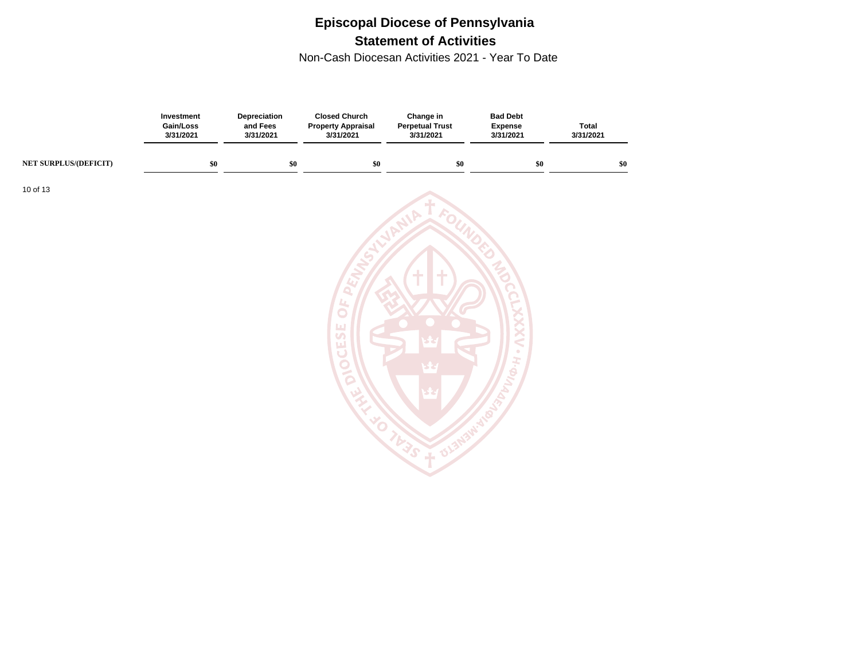# **Episcopal Diocese of Pennsylvania Statement of Activities**

Non-Cash Diocesan Activities 2021 - Year To Date

|                       | Investment<br>Gain/Loss<br>3/31/2021 | Depreciation<br>and Fees<br>3/31/2021 | <b>Closed Church</b><br><b>Property Appraisal</b><br>3/31/2021 | Change in<br><b>Perpetual Trust</b><br>3/31/2021 | <b>Bad Debt</b><br><b>Expense</b><br>3/31/2021 | <b>Total</b><br>3/31/2021 |
|-----------------------|--------------------------------------|---------------------------------------|----------------------------------------------------------------|--------------------------------------------------|------------------------------------------------|---------------------------|
| NET SURPLUS/(DEFICIT) | $\$0$                                | $\$0$                                 | $\$0$                                                          | $\$0$                                            | $\$0$                                          | $\$0$                     |
| 10 of 13              |                                      |                                       |                                                                |                                                  |                                                |                           |
|                       |                                      |                                       |                                                                |                                                  |                                                |                           |
|                       |                                      |                                       |                                                                |                                                  |                                                |                           |
|                       |                                      |                                       |                                                                | $+$<br>÷                                         |                                                |                           |
|                       |                                      |                                       | <u>u</u><br>$\bullet$<br>Щ                                     |                                                  |                                                |                           |
|                       |                                      |                                       | $\overline{u}$<br>u.<br>$\cup$                                 |                                                  | $\bullet$                                      |                           |
|                       |                                      |                                       | DIO                                                            |                                                  | H.Q                                            |                           |
|                       |                                      |                                       | 孓<br>$\mathcal{L}$                                             |                                                  |                                                |                           |
|                       |                                      |                                       | <b>EXI</b>                                                     | TUJS                                             |                                                |                           |
|                       |                                      |                                       |                                                                |                                                  |                                                |                           |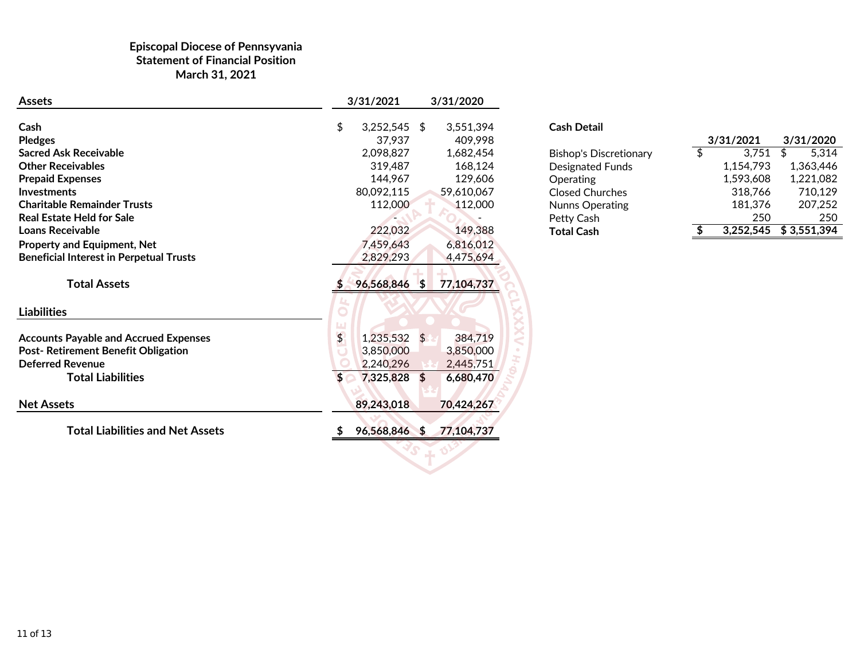#### **Episcopal Diocese of Pennsyvania Statement of Financial Position March 31, 2021**

| <b>Assets</b>                                  |               | 3/31/2021                | 3/31/2020            |                                      |                 |           |             |
|------------------------------------------------|---------------|--------------------------|----------------------|--------------------------------------|-----------------|-----------|-------------|
| Cash<br><b>Pledges</b>                         | \$            | $3,252,545$ \$<br>37,937 | 3,551,394<br>409,998 | <b>Cash Detail</b>                   |                 | 3/31/2021 | 3/31/2020   |
| <b>Sacred Ask Receivable</b>                   |               | 2,098,827                | 1,682,454            |                                      | $\overline{\$}$ | 3,751     | 5,314<br>\$ |
| <b>Other Receivables</b>                       |               | 319,487                  | 168,124              | <b>Bishop's Discretionary</b>        |                 | 1,154,793 | 1,363,446   |
| <b>Prepaid Expenses</b>                        |               | 144,967                  | 129,606              | <b>Designated Funds</b><br>Operating |                 | 1,593,608 | 1,221,082   |
| <b>Investments</b>                             |               | 80,092,115               | 59,610,067           | <b>Closed Churches</b>               |                 | 318,766   | 710,129     |
| <b>Charitable Remainder Trusts</b>             |               | 112,000                  | 112,000              | <b>Nunns Operating</b>               |                 | 181,376   | 207,252     |
| <b>Real Estate Held for Sale</b>               |               |                          |                      | Petty Cash                           |                 | 250       | 250         |
| <b>Loans Receivable</b>                        |               | 222,032                  | 149,388              | <b>Total Cash</b>                    | S.              | 3,252,545 | \$3,551,394 |
| Property and Equipment, Net                    |               | 7,459,643                | 6,816,012            |                                      |                 |           |             |
| <b>Beneficial Interest in Perpetual Trusts</b> |               | 2,829,293                | 4,475,694            |                                      |                 |           |             |
| <b>Total Assets</b>                            |               | 96,568,846 \$            | 77,104,737           |                                      |                 |           |             |
| <b>Liabilities</b>                             |               |                          |                      |                                      |                 |           |             |
| <b>Accounts Payable and Accrued Expenses</b>   | $\frac{4}{5}$ | $1,235,532$ \$           | 384,719              |                                      |                 |           |             |
| Post- Retirement Benefit Obligation            |               | 3,850,000                | 3,850,000            |                                      |                 |           |             |
| <b>Deferred Revenue</b>                        |               | 2,240,296                | 2,445,751            |                                      |                 |           |             |
| <b>Total Liabilities</b>                       |               | 7,325,828 \$             | 6,680,470            |                                      |                 |           |             |
| <b>Net Assets</b>                              |               | 89,243,018               | 70,424,267           |                                      |                 |           |             |
| <b>Total Liabilities and Net Assets</b>        |               | 96,568,846 \$            | 77,104,737           |                                      |                 |           |             |
|                                                |               |                          |                      |                                      |                 |           |             |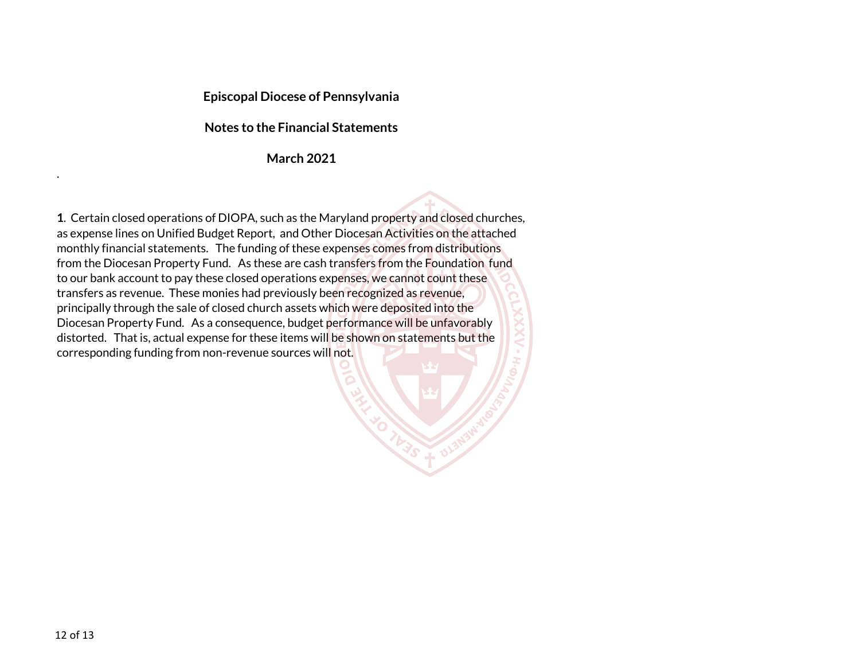#### **Episcopal Diocese of Pennsylvania**

#### **Notes to the Financial Statements**

#### **March 2021**

**1**. Certain closed operations of DIOPA, such as the Maryland property and closed churches, as expense lines on Unified Budget Report, and Other Diocesan Activities on the attached monthly financial statements. The funding of these expenses comes from distributions from the Diocesan Property Fund. As these are cash transfers from the Foundation fund to our bank account to pay these closed operations expenses, we cannot count these transfers as revenue. These monies had previously been recognized as revenue, principally through the sale of closed church assets which were deposited into the Diocesan Property Fund. As a consequence, budget performance will be unfavorably distorted. That is, actual expense for these items will be shown on statements but the corresponding funding from non-revenue sources will not.

.